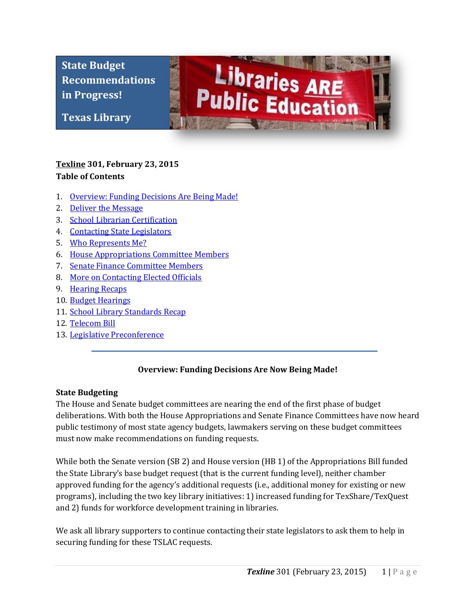**State Budget Recommendations in Progress!**

**Texas Library** 

**Association**



# **[Texline](http://www.txla.org/texline-updates) 301, February 23, 2015 Table of Contents**

- 1. [Overview: Funding Decisions Are Being Made!](#page-0-0)
- 2. Deliver the Message
- 3. School Librarian Certification
- 4. Contacting State Legislators
- 5. [Who Represents Me?](#page-2-0)
- 6. [House Appropriations Committee Members](#page-2-1)
- 7. Senate Finance Committee Members
- 8. More on Contacting Elected Officials
- 9. Hearing Recaps
- 10. Budget Hearings
- 11. School Library Standards Recap
- 12. Telecom Bill
- <span id="page-0-0"></span>13. Legislative Preconference

## **Overview: Funding Decisions Are Now Being Made!**

### **State Budgeting**

The House and Senate budget committees are nearing the end of the first phase of budget deliberations. With both the House Appropriations and Senate Finance Committees have now heard public testimony of most state agency budgets, lawmakers serving on these budget committees must now make recommendations on funding requests.

While both the Senate version (SB 2) and House version (HB 1) of the Appropriations Bill funded the State Library's base budget request (that is the current funding level), neither chamber approved funding for the agency's additional requests (i.e., additional money for existing or new programs), including the two key library initiatives: 1) increased funding for TexShare/TexQuest and 2) funds for workforce development training in libraries.

We ask all library supporters to continue contacting their state legislators to ask them to help in securing funding for these TSLAC requests.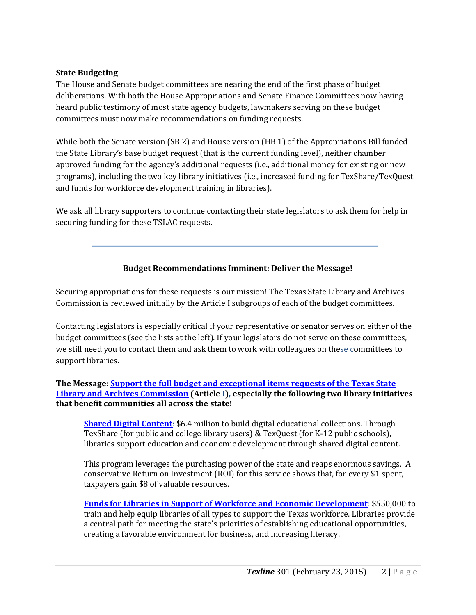## **State Budgeting**

The House and Senate budget committees are nearing the end of the first phase of budget deliberations. With both the House Appropriations and Senate Finance Committees now having heard public testimony of most state agency budgets, lawmakers serving on these budget committees must now make recommendations on funding requests.

While both the Senate version (SB 2) and House version (HB 1) of the Appropriations Bill funded the State Library's base budget request (that is the current funding level), neither chamber approved funding for the agency's additional requests (i.e., additional money for existing or new programs), including the two key library initiatives (i.e., increased funding for TexShare/TexQuest and funds for workforce development training in libraries).

We ask all library supporters to continue contacting their state legislators to ask them for help in securing funding for these TSLAC requests.

## **Budget Recommendations Imminent: Deliver the Message!**

Securing appropriations for these requests is our mission! The Texas State Library and Archives Commission is reviewed initially by the Article I subgroups of each of the budget committees.

Contacting legislators is especially critical if your representative or senator serves on either of the budget committees (see the lists at the left). If your legislators do not serve on these committees, we still need you to contact them and ask them to work with colleagues on these committees to support libraries.

### **The Message: [Support the full budget and exceptional items requests of the Texas State](http://www.txla.org/sites/tla/files/Advocate/84th_Library_Budget_Issues.pdf)  [Library and Archives Commission](http://www.txla.org/sites/tla/files/Advocate/84th_Library_Budget_Issues.pdf) (Article I), especially the following two library initiatives that benefit communities all across the state!**

**[Shared Digital Content](http://www.txla.org/sites/tla/files/Advocate/shareddigitalcontent%20flyer.pdf)**: \$6.4 million to build digital educational collections. Through TexShare (for public and college library users) & TexQuest (for K-12 public schools), libraries support education and economic development through shared digital content.

This program leverages the purchasing power of the state and reaps enormous savings. A conservative Return on Investment (ROI) for this service shows that, for every \$1 spent, taxpayers gain \$8 of valuable resources.

**[Funds for Libraries in Support of Workforce and Economic Development](http://www.txla.org/sites/tla/files/Advocate/workforce%20flyer.pdf)**: \$550,000 to train and help equip libraries of all types to support the Texas workforce. Libraries provide a central path for meeting the state's priorities of establishing educational opportunities, creating a favorable environment for business, and increasing literacy.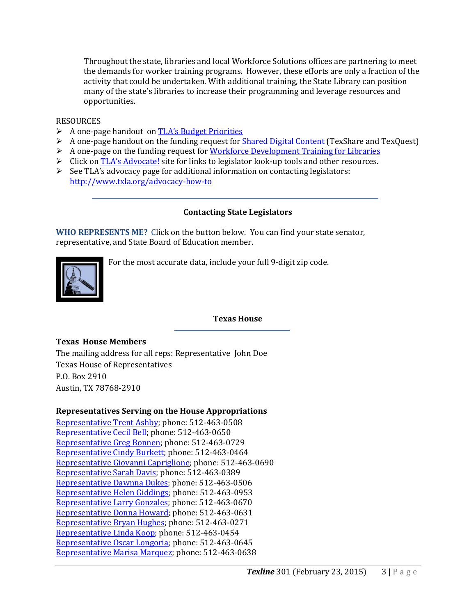Throughout the state, libraries and local Workforce Solutions offices are partnering to meet the demands for worker training programs. However, these efforts are only a fraction of the activity that could be undertaken. With additional training, the State Library can position many of the state's libraries to increase their programming and leverage resources and opportunities.

#### **RESOURCES**

- A one-page handout on [TLA's Budget Priorities](http://www.txla.org/sites/tla/files/Advocate/84th_Library_Budget_Issues.pdf)
- A one-page handout on the funding request for **Shared Digital Content** (TexShare and TexQuest)
- $\triangleright$  A one-page on the funding request for [Workforce Development Training for Libraries](http://www.txla.org/sites/tla/files/Advocate/workforce%20flyer.pdf)
- $\triangleright$  Click on [TLA's Advocate!](http://www.txla.org/take-action) site for links to legislator look-up tools and other resources.
- $\triangleright$  See TLA's advocacy page for additional information on contacting legislators: <http://www.txla.org/advocacy-how-to>

## **Contacting State Legislators**

<span id="page-2-0"></span>**WHO REPRESENTS ME?** Click on the button below. You can find your state senator, representative, and State Board of Education member.



For the most accurate data, include your full 9-digit zip code.

### **Texas House**

### **Texas House Members**

The mailing address for all reps: Representative John Doe Texas House of Representatives P.O. Box 2910 Austin, TX 78768-2910

### <span id="page-2-1"></span>**Representatives Serving on the House Appropriations**

[Representative Trent Ashby;](mailto:Trent.Ashby@house.state.tx.us) phone: 512-463-0508 [Representative Cecil Bell;](mailto:Cecil.Bell@house.state.tx.us) phone: 512-463-0650 [Representative Greg Bonnen;](mailto:Greg.Bonnen@house.state.tx.us) phone: 512-463-0729 [Representative Cindy Burkett;](mailto:Cindy.Burkett@house.state.tx.us) phone: 512-463-0464 [Representative Giovanni Capriglione;](mailto:Giovanni.Capriglione@house.state.tx.us) phone: 512-463-0690 [Representative Sarah Davis;](mailto:Sarah.Davis@house.state.tx.us) phone: 512-463-0389 [Representative Dawnna Dukes;](mailto:Dawnna.Dukes@house.state.tx.us) phone: 512-463-0506 [Representative Helen Giddings;](mailto:Helen.Giddings@house.state.tx.us) phone: 512-463-0953 [Representative Larry Gonzales;](mailto:Larry.Gonzales@house.state.tx.us) phone: 512-463-0670 [Representative Donna Howard;](mailto:Donna.Howard@house.state.tx.us) phone: 512-463-0631 [Representative Bryan Hughes;](mailto:Bryan.Hughes@house.state.tx.us) phone: 512-463-0271 [Representative Linda Koop;](mailto:Linda.Koop@house.state.tx.us) phone: 512-463-0454 [Representative Oscar Longoria;](mailto:Oscar.Longoria@house.state.tx.us) phone: 512-463-0645 [Representative Marisa Marquez;](mailto:Marisa.Marquez@house.state.tx.us) phone: 512-463-0638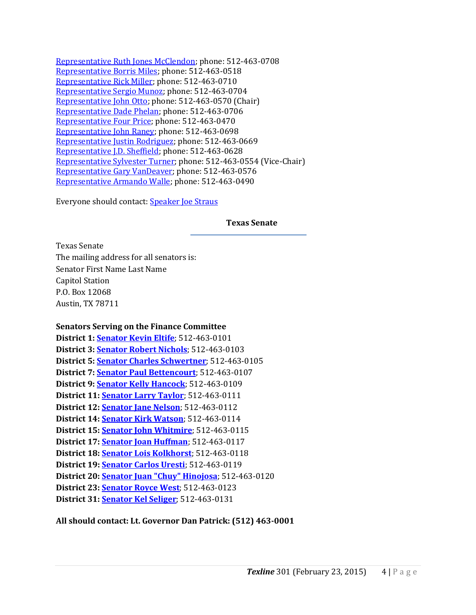[Representative Ruth Jones McClendon;](mailto:RuthJones.McClendon@house.state.tx.us) phone: 512-463-0708 [Representative Borris Miles;](mailto:Borris.Miles@house.state.tx.us) phone: 512-463-0518 [Representative Rick Miller;](mailto:Rick.Miller@house.state.tx.us) phone: 512-463-0710 [Representative Sergio Munoz;](mailto:Sergio.Munoz@house.state.tx.us) phone: 512-463-0704 [Representative John Otto;](mailto:John.Otto@house.state.tx.us) phone: 512-463-0570 (Chair) [Representative Dade Phelan;](mailto:Dade.Phelan@house.state.tx.us) phone: 512-463-0706 [Representative Four Price;](mailto:Four.Price@house.state.tx.us) phone: 512-463-0470 [Representative John Raney;](mailto:John.Raney@house.state.tx.us) phone: 512-463-0698 [Representative Justin Rodriguez;](mailto:Justin.Rodriguez@house.state.tx.us) phone: 512-463-0669 [Representative J.D. Sheffield;](mailto:J.D.Sheffield@house.state.tx.us) phone: 512-463-0628 [Representative Sylvester Turner;](mailto:Sylvester.Turner@house.state.tx.us) phone: 512-463-0554 (Vice-Chair) [Representative Gary VanDeaver;](mailto:Gary.VanDeaver@house.state.tx.us) phone: 512-463-0576 [Representative Armando Walle;](mailto:Armando.Walle@house.state.tx.us) phone: 512-463-0490

Everyone should contact: [Speaker Joe Straus](mailto:Joe.Straus@house.state.tx.us)

#### **Texas Senate**

Texas Senate The mailing address for all senators is: Senator First Name Last Name Capitol Station P.O. Box 12068 Austin, TX 78711

#### **Senators Serving on the Finance Committee**

| District 1: Senator Kevin Eltife: 512-463-0101                  |
|-----------------------------------------------------------------|
| District 3: <b>Senator Robert Nichols</b> ; 512-463-0103        |
| District 5: Senator Charles Schwertner; 512-463-0105            |
| District 7: <b>Senator Paul Bettencourt</b> ; 512-463-0107      |
| District 9: <b>Senator Kelly Hancock</b> ; 512-463-0109         |
| District 11: <b>Senator Larry Taylor</b> ; 512-463-0111         |
| District 12: Senator Jane Nelson; 512-463-0112                  |
| District 14: Senator Kirk Watson; 512-463-0114                  |
| District 15: <b>Senator John Whitmire</b> ; 512-463-0115        |
| District 17: Senator Joan Huffman; 512-463-0117                 |
| District 18: Senator Lois Kolkhorst; 512-463-0118               |
| District 19: <b>Senator Carlos Uresti</b> ; 512-463-0119        |
| District 20: <b>Senator Juan "Chuy" Hinojosa</b> ; 512-463-0120 |
| District 23: <b>Senator Royce West</b> ; 512-463-0123           |
| District 31: Senator Kel Seliger; 512-463-0131                  |

### **All should contact: Lt. Governor Dan Patrick: (512) 463-0001**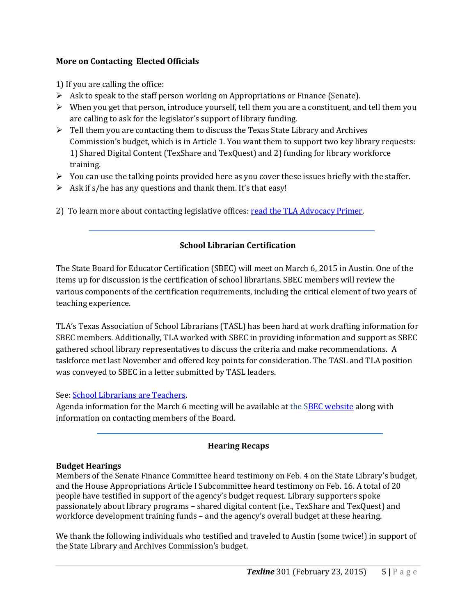## **More on Contacting Elected Officials**

1) If you are calling the office:

- $\triangleright$  Ask to speak to the staff person working on Appropriations or Finance (Senate).
- $\triangleright$  When you get that person, introduce yourself, tell them you are a constituent, and tell them you are calling to ask for the legislator's support of library funding.
- $\triangleright$  Tell them you are contacting them to discuss the Texas State Library and Archives Commission's budget, which is in Article 1. You want them to support two key library requests: 1) Shared Digital Content (TexShare and TexQuest) and 2) funding for library workforce training.
- $\triangleright$  You can use the talking points provided here as you cover these issues briefly with the staffer.
- $\triangleright$  Ask if s/he has any questions and thank them. It's that easy!
- 2) To learn more about contacting legislative offices: [read the TLA Advocacy Primer.](http://www.txla.org/advocacy-how-to)

## **School Librarian Certification**

The State Board for Educator Certification (SBEC) will meet on March 6, 2015 in Austin. One of the items up for discussion is the certification of school librarians. SBEC members will review the various components of the certification requirements, including the critical element of two years of teaching experience.

TLA's Texas Association of School Librarians (TASL) has been hard at work drafting information for SBEC members. Additionally, TLA worked with SBEC in providing information and support as SBEC gathered school library representatives to discuss the criteria and make recommendations. A taskforce met last November and offered key points for consideration. The TASL and TLA position was conveyed to SBEC in a letter submitted by TASL leaders.

## See[: School Librarians are Teachers.](http://www.txla.org/sites/tla/files/Advocate/TASL%20SBECletter%201-8-15.pdf)

Agenda information for the March 6 meeting will be available at the [SBEC website](http://tea.texas.gov/About_TEA/Leadership/State_Board_for_Educator_Certification/SBEC_Meetings/State_Board_for_Educator_Certification_Meetings/) along with information on contacting members of the Board.

### **Hearing Recaps**

### **Budget Hearings**

Members of the Senate Finance Committee heard testimony on Feb. 4 on the State Library's budget, and the House Appropriations Article I Subcommittee heard testimony on Feb. 16. A total of 20 people have testified in support of the agency's budget request. Library supporters spoke passionately about library programs – shared digital content (i.e., TexShare and TexQuest) and workforce development training funds – and the agency's overall budget at these hearing.

We thank the following individuals who testified and traveled to Austin (some twice!) in support of the State Library and Archives Commission's budget.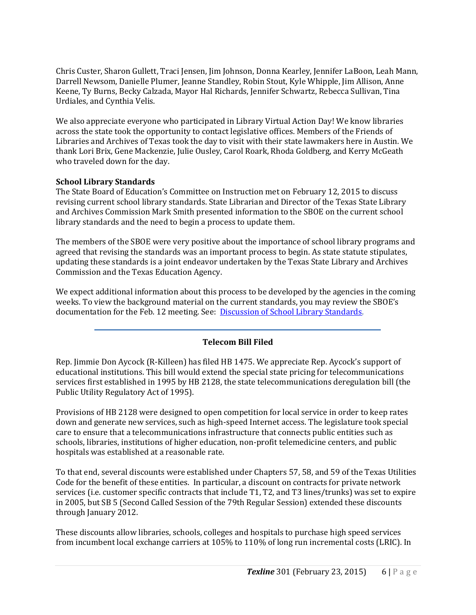Chris Custer, Sharon Gullett, Traci Jensen, Jim Johnson, Donna Kearley, Jennifer LaBoon, Leah Mann, Darrell Newsom, Danielle Plumer, Jeanne Standley, Robin Stout, Kyle Whipple, Jim Allison, Anne Keene, Ty Burns, Becky Calzada, Mayor Hal Richards, Jennifer Schwartz, Rebecca Sullivan, Tina Urdiales, and Cynthia Velis.

We also appreciate everyone who participated in Library Virtual Action Day! We know libraries across the state took the opportunity to contact legislative offices. Members of the Friends of Libraries and Archives of Texas took the day to visit with their state lawmakers here in Austin. We thank Lori Brix, Gene Mackenzie, Julie Ousley, Carol Roark, Rhoda Goldberg, and Kerry McGeath who traveled down for the day.

## **School Library Standards**

The State Board of Education's Committee on Instruction met on February 12, 2015 to discuss revising current school library standards. State Librarian and Director of the Texas State Library and Archives Commission Mark Smith presented information to the SBOE on the current school library standards and the need to begin a process to update them.

The members of the SBOE were very positive about the importance of school library programs and agreed that revising the standards was an important process to begin. As state statute stipulates, updating these standards is a joint endeavor undertaken by the Texas State Library and Archives Commission and the Texas Education Agency.

We expect additional information about this process to be developed by the agencies in the coming weeks. To view the background material on the current standards, you may review the SBOE's documentation for the Feb. 12 meeting. See: [Discussion of School Library Standards.](http://tea.texas.gov/About_TEA/Leadership/State_Board_of_Education/2015/February/February_2015_Committee_on_Instruction_Item_5/)

## **Telecom Bill Filed**

Rep. Jimmie Don Aycock (R-Killeen) has filed HB 1475. We appreciate Rep. Aycock's support of educational institutions. This bill would extend the special state pricing for telecommunications services first established in 1995 by HB 2128, the state telecommunications deregulation bill (the Public Utility Regulatory Act of 1995).

Provisions of HB 2128 were designed to open competition for local service in order to keep rates down and generate new services, such as high-speed Internet access. The legislature took special care to ensure that a telecommunications infrastructure that connects public entities such as schools, libraries, institutions of higher education, non-profit telemedicine centers, and public hospitals was established at a reasonable rate.

To that end, several discounts were established under Chapters 57, 58, and 59 of the Texas Utilities Code for the benefit of these entities. In particular, a discount on contracts for private network services (i.e. customer specific contracts that include T1, T2, and T3 lines/trunks) was set to expire in 2005, but SB 5 (Second Called Session of the 79th Regular Session) extended these discounts through January 2012.

These discounts allow libraries, schools, colleges and hospitals to purchase high speed services from incumbent local exchange carriers at 105% to 110% of long run incremental costs (LRIC). In